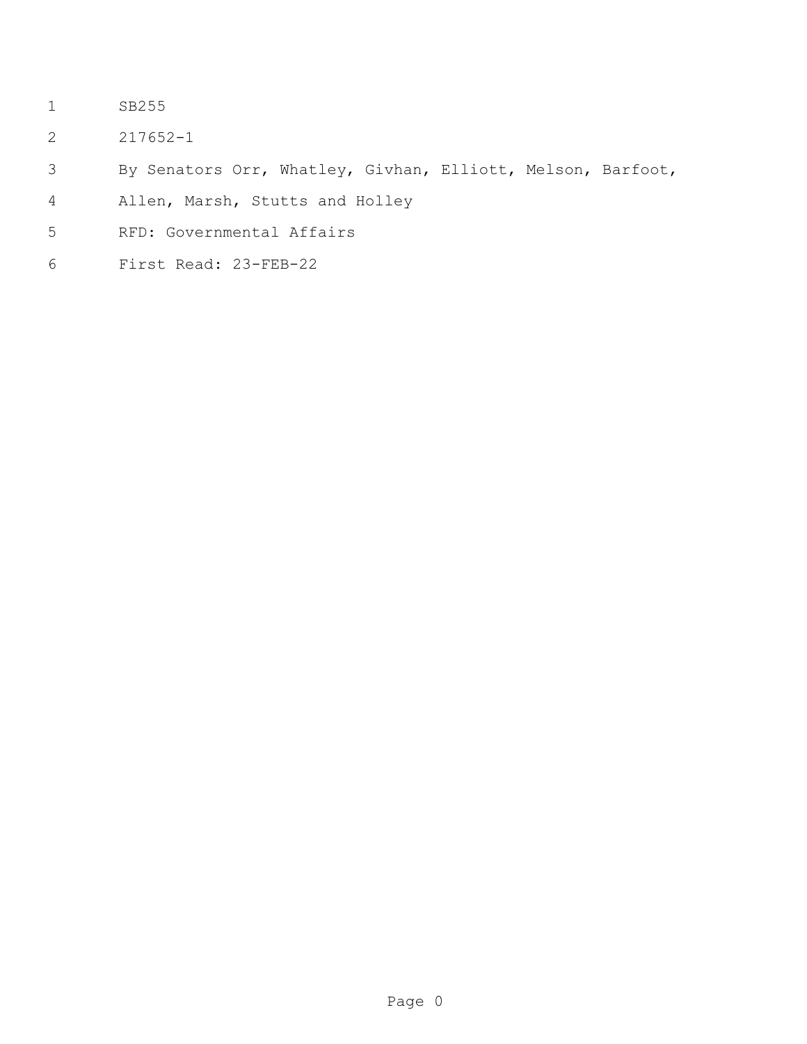- SB255
- 217652-1
- By Senators Orr, Whatley, Givhan, Elliott, Melson, Barfoot,
- Allen, Marsh, Stutts and Holley
- RFD: Governmental Affairs
- First Read: 23-FEB-22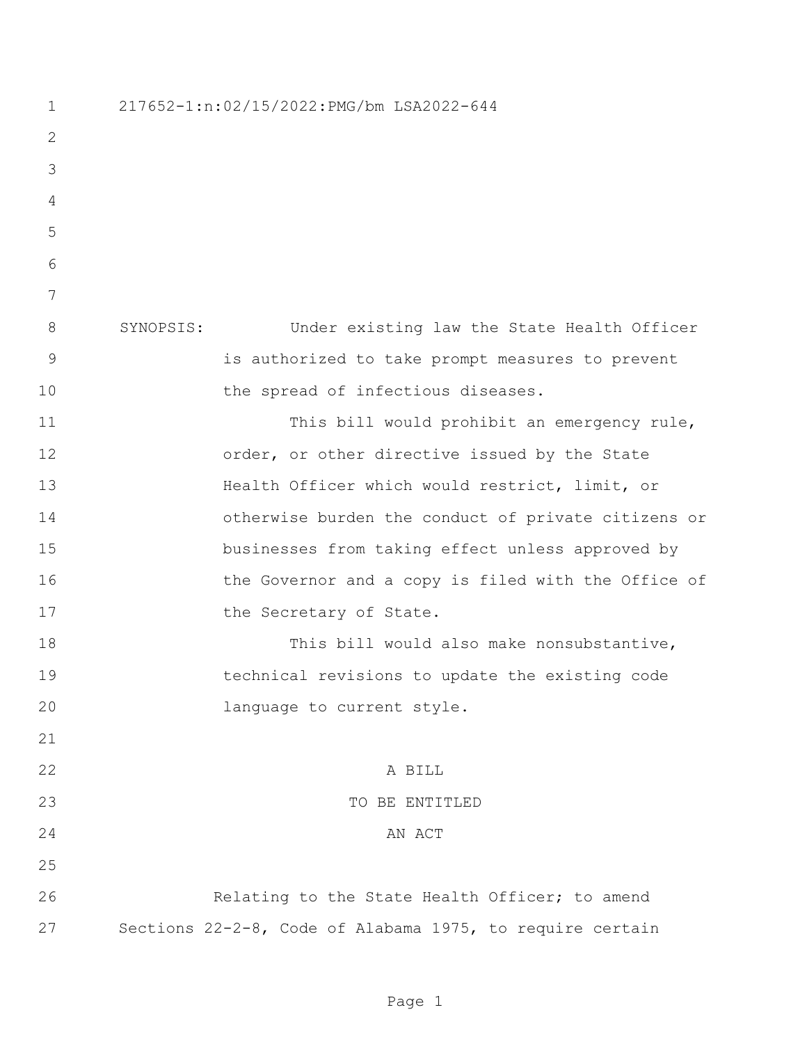217652-1:n:02/15/2022:PMG/bm LSA2022-644 SYNOPSIS: Under existing law the State Health Officer is authorized to take prompt measures to prevent 10 the spread of infectious diseases. 11 This bill would prohibit an emergency rule, 12 order, or other directive issued by the State Health Officer which would restrict, limit, or otherwise burden the conduct of private citizens or businesses from taking effect unless approved by 16 the Governor and a copy is filed with the Office of 17 the Secretary of State. 18 This bill would also make nonsubstantive, technical revisions to update the existing code language to current style. 22 A BILL TO BE ENTITLED 24 AN ACT Relating to the State Health Officer; to amend Sections 22-2-8, Code of Alabama 1975, to require certain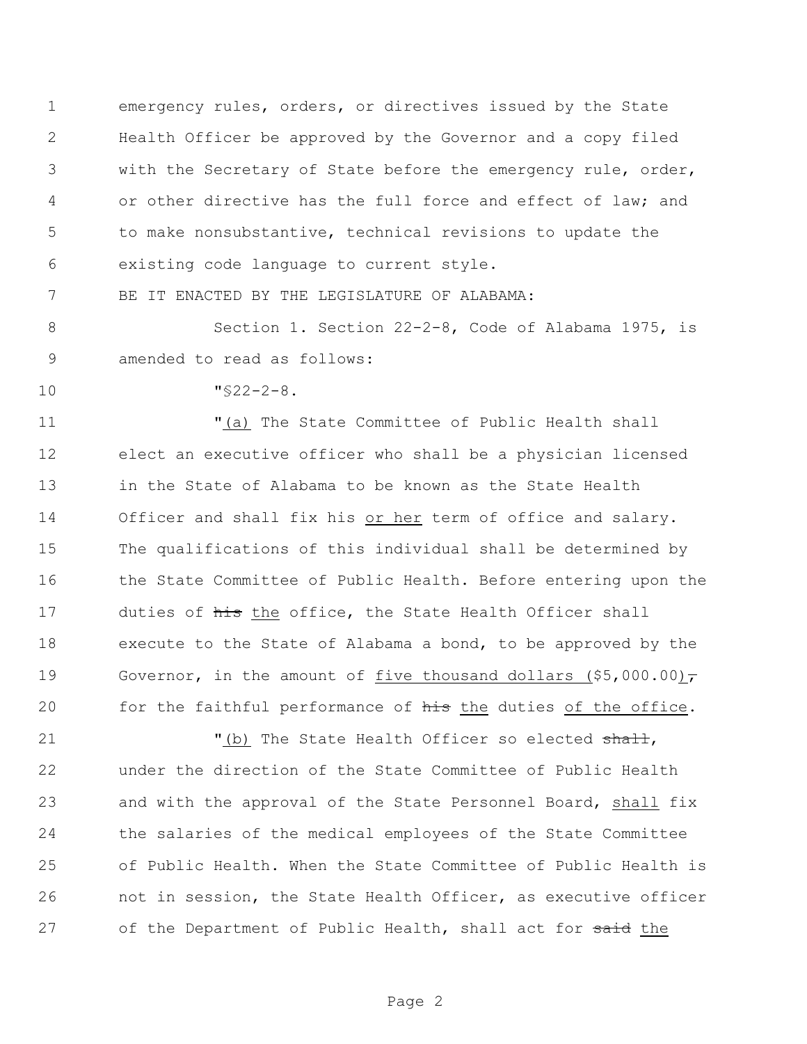emergency rules, orders, or directives issued by the State Health Officer be approved by the Governor and a copy filed with the Secretary of State before the emergency rule, order, or other directive has the full force and effect of law; and to make nonsubstantive, technical revisions to update the existing code language to current style.

BE IT ENACTED BY THE LEGISLATURE OF ALABAMA:

 Section 1. Section 22-2-8, Code of Alabama 1975, is amended to read as follows:

"§22-2-8.

 "(a) The State Committee of Public Health shall elect an executive officer who shall be a physician licensed in the State of Alabama to be known as the State Health Officer and shall fix his or her term of office and salary. The qualifications of this individual shall be determined by the State Committee of Public Health. Before entering upon the 17 duties of his the office, the State Health Officer shall execute to the State of Alabama a bond, to be approved by the 19 Governor, in the amount of five thousand dollars  $(55,000.00)\tau$ 20 for the faithful performance of his the duties of the office.

21 "(b) The State Health Officer so elected shall, under the direction of the State Committee of Public Health and with the approval of the State Personnel Board, shall fix the salaries of the medical employees of the State Committee of Public Health. When the State Committee of Public Health is not in session, the State Health Officer, as executive officer 27 of the Department of Public Health, shall act for said the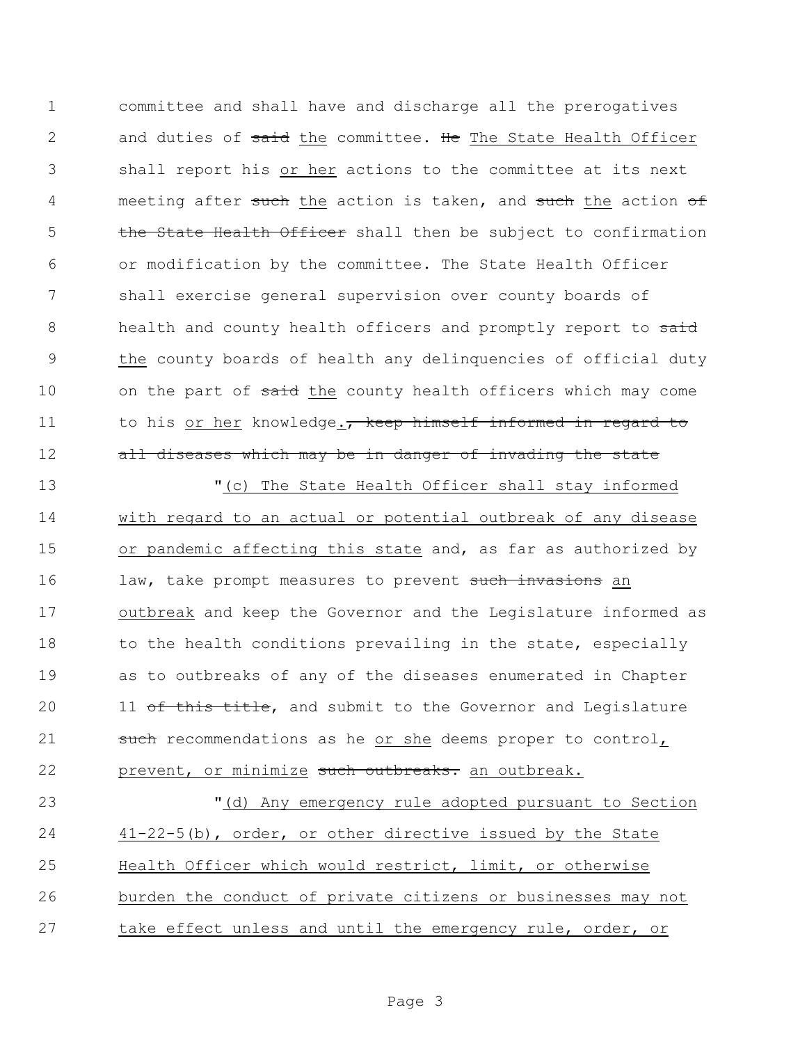1 committee and shall have and discharge all the prerogatives 2 and duties of said the committee. He The State Health Officer 3 shall report his or her actions to the committee at its next 4 meeting after such the action is taken, and such the action of 5 the State Health Officer shall then be subject to confirmation 6 or modification by the committee. The State Health Officer 7 shall exercise general supervision over county boards of 8 health and county health officers and promptly report to said 9 the county boards of health any delinquencies of official duty 10 on the part of said the county health officers which may come 11 to his or her knowledge., keep himself informed in regard to 12 all diseases which may be in danger of invading the state

13 "(c) The State Health Officer shall stay informed 14 with regard to an actual or potential outbreak of any disease 15 or pandemic affecting this state and, as far as authorized by 16 law, take prompt measures to prevent such invasions an 17 outbreak and keep the Governor and the Legislature informed as 18 to the health conditions prevailing in the state, especially 19 as to outbreaks of any of the diseases enumerated in Chapter 20 11 of this title, and submit to the Governor and Legislature 21 such recommendations as he or she deems proper to control 22 prevent, or minimize such outbreaks. an outbreak.

 "(d) Any emergency rule adopted pursuant to Section 41-22-5(b), order, or other directive issued by the State Health Officer which would restrict, limit, or otherwise burden the conduct of private citizens or businesses may not take effect unless and until the emergency rule, order, or